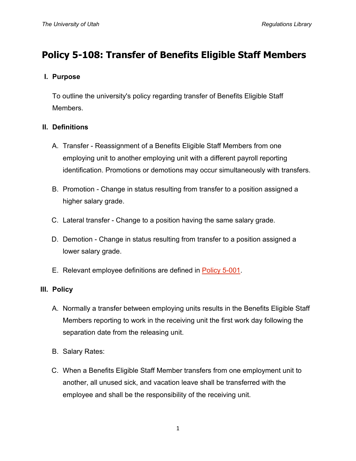# **Policy 5-108: Transfer of Benefits Eligible Staff Members**

## **I. Purpose**

To outline the university's policy regarding transfer of Benefits Eligible Staff Members.

#### **II. Definitions**

- A. Transfer Reassignment of a Benefits Eligible Staff Members from one employing unit to another employing unit with a different payroll reporting identification. Promotions or demotions may occur simultaneously with transfers.
- B. Promotion Change in status resulting from transfer to a position assigned a higher salary grade.
- C. Lateral transfer Change to a position having the same salary grade.
- D. Demotion Change in status resulting from transfer to a position assigned a lower salary grade.
- E. Relevant employee definitions are defined in [Policy 5-001.](http://regulations.utah.edu/human-resources/5-001.php)

## **III. Policy**

- A. Normally a transfer between employing units results in the Benefits Eligible Staff Members reporting to work in the receiving unit the first work day following the separation date from the releasing unit.
- B. Salary Rates:
- C. When a Benefits Eligible Staff Member transfers from one employment unit to another, all unused sick, and vacation leave shall be transferred with the employee and shall be the responsibility of the receiving unit.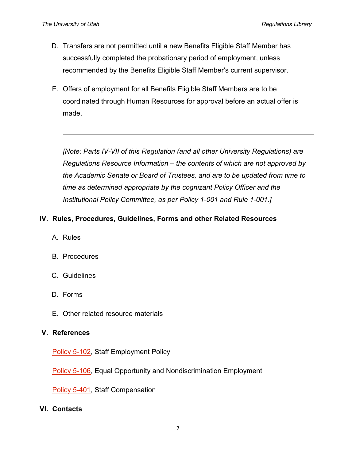- D. Transfers are not permitted until a new Benefits Eligible Staff Member has successfully completed the probationary period of employment, unless recommended by the Benefits Eligible Staff Member's current supervisor.
- E. Offers of employment for all Benefits Eligible Staff Members are to be coordinated through Human Resources for approval before an actual offer is made.

*[Note: Parts IV-VII of this Regulation (and all other University Regulations) are Regulations Resource Information – the contents of which are not approved by the Academic Senate or Board of Trustees, and are to be updated from time to time as determined appropriate by the cognizant Policy Officer and the Institutional Policy Committee, as per Policy 1-001 and Rule 1-001.]*

## **IV. Rules, Procedures, Guidelines, Forms and other Related Resources**

- A. Rules
- B. Procedures
- C. Guidelines
- D. Forms
- E. Other related resource materials

#### **V. References**

[Policy 5-102,](http://regulations.utah.edu/human-resources/5-102.php) Staff Employment Policy

**[Policy 5-106,](http://regulations.utah.edu/human-resources/5-106.php) Equal Opportunity and Nondiscrimination Employment** 

[Policy 5-401,](http://regulations.utah.edu/human-resources/5-401.php) Staff Compensation

#### **VI. Contacts**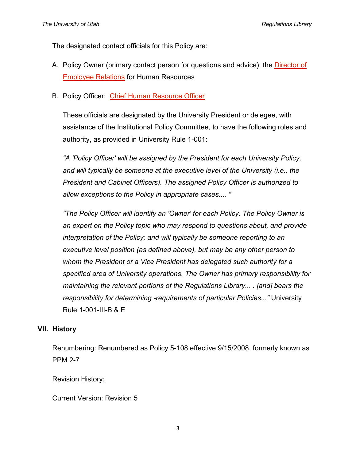The designated contact officials for this Policy are:

- A. Policy Owner (primary contact person for questions and advice): the [Director of](http://regulations.utah.edu/info/index.php)  [Employee Relations](http://regulations.utah.edu/info/index.php) for Human Resources
- B. Policy Officer: [Chief Human Resource Officer](http://regulations.utah.edu/info/index.php)

These officials are designated by the University President or delegee, with assistance of the Institutional Policy Committee, to have the following roles and authority, as provided in University Rule 1-001:

*"A 'Policy Officer' will be assigned by the President for each University Policy,*  and will typically be someone at the executive level of the University *(i.e., the President and Cabinet Officers). The assigned Policy Officer is authorized to allow exceptions to the Policy in appropriate cases.... "*

*"The Policy Officer will identify an 'Owner' for each Policy. The Policy Owner is an expert on the Policy topic who may respond to questions about, and provide interpretation of the Policy; and will typically be someone reporting to an executive level position (as defined above), but may be any other person to whom the President or a Vice President has delegated such authority for a specified area of University operations. The Owner has primary responsibility for maintaining the relevant portions of the Regulations Library... . [and] bears the responsibility for determining -requirements of particular Policies..."* University Rule 1-001-III-B & E

## **VII. History**

Renumbering: Renumbered as Policy 5-108 effective 9/15/2008, formerly known as PPM 2-7

Revision History:

Current Version: Revision 5